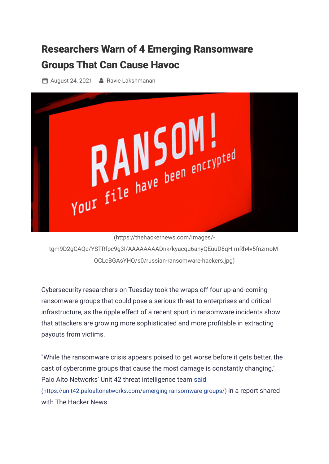## Researchers Warn of 4 Emerging [Ransomware](https://thehackernews.com/2021/08/researchers-warn-of-4-new-ransomware.html) Groups That Can Cause Havoc

**A** August 24, 2021 **A** [Ravie Lakshmanan](https://thehackernews.com/p/authors.html)



(https://thehackernews.com/images/-

[tgm9D2gCAQc/YSTRfpc9g3I/AAAAAAAADnk/kyacqu6ahyQEuuD8qH-mRh4v5fnzmoM-](https://thehackernews.com/images/-tgm9D2gCAQc/YSTRfpc9g3I/AAAAAAAADnk/kyacqu6ahyQEuuD8qH-mRh4v5fnzmoM-QCLcBGAsYHQ/s0/russian-ransomware-hackers.jpg)QCLcBGAsYHQ/s0/russian-ransomware-hackers.jpg)

Cybersecurity researchers on Tuesday took the wraps off four up-and-coming ransomware groups that could pose a serious threat to enterprises and critical infrastructure, as the ripple effect of a recent spurt in ransomware incidents show that attackers are growing more sophisticated and more profitable in extracting payouts from victims.

"While the ransomware crisis appears poised to get worse before it gets better, the cast of cybercrime groups that cause the most damage is constantly changing," Palo Alto Networks' Unit 42 threat intelligence team said [\(https://unit42.paloaltonetworks.com/emerging-ransomware-groups/\)](https://unit42.paloaltonetworks.com/emerging-ransomware-groups/) in a report shared with The Hacker News.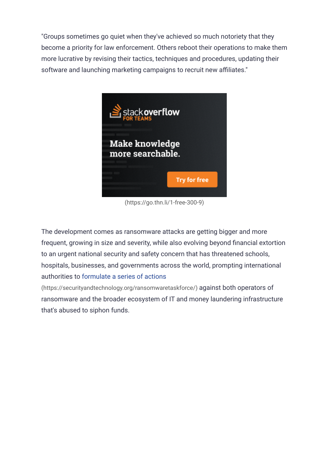"Groups sometimes go quiet when they've achieved so much notoriety that they become a priority for law enforcement. Others reboot their operations to make them more lucrative by revising their tactics, techniques and procedures, updating their software and launching marketing campaigns to recruit new affiliates."



[\(https://go.thn.li/1-free-300-9\)](https://go.thn.li/1-free-300-9)

The development comes as ransomware attacks are getting bigger and more frequent, growing in size and severity, while also evolving beyond financial extortion to an urgent national security and safety concern that has threatened schools, hospitals, businesses, and governments across the world, prompting international authorities to formulate a series of actions

[\(https://securityandtechnology.org/ransomwaretaskforce/\)](https://securityandtechnology.org/ransomwaretaskforce/) against both operators of ransomware and the broader ecosystem of IT and money laundering infrastructure that's abused to siphon funds.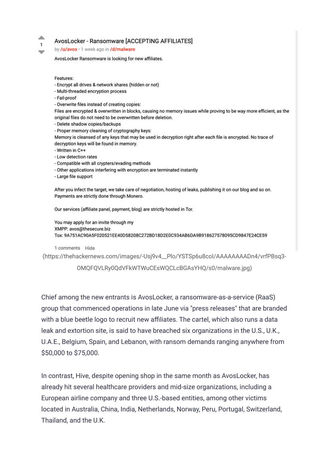### AvosLocker - Ransomware [ACCEPTING AFFILIATES]

by /u/avos · 1 week ago in /d/malware

AvosLocker Ransomware is looking for new affiliates.

Features:

∸

 $\mathbf{1}$ 

w

- Encrypt all drives & network shares (hidden or not)
- Multi-threaded encryption process
- Fail-proof
- Overwrite files instead of creating copies:

Files are encrypted & overwritten in blocks, causing no memory issues while proving to be way more efficient, as the original files do not need to be overwritten before deletion.

- Delete shadow copies/backups

- Proper memory cleaning of cryptography keys:
- Memory is cleansed of any keys that may be used in decryption right after each file is encrypted. No trace of decryption keys will be found in memory.
- Written in C++
- Low detection rates
- Compatible with all crypters/evading methods
- Other applications interfering with encryption are terminated instantly
- Large file support

After you infect the target, we take care of negotiation, hosting of leaks, publishing it on our blog and so on. Payments are strictly done through Monero.

Our services (affiliate panel, payment, blog) are strictly hosted in Tor.

You may apply for an invite through my XMPP: avos@thesecure.biz Tox: 9A751AC90A5F020521EE40D58208C272BD18D2E0C934AB6DA9B918627578095CD9847E24CE59

#### 1 comments Hide

(https://thehackernews.com/images/-Usj9v4\_Plo/YSTSp6u8col/AAAAAAAADn4/vrfPBsq3-

OMQFQVLRy0QdVFkWTWuCEsWQCLcBGAsYHQ/s0/malware.jpg)

Chief among the new entrants is AvosLocker, a ransomware-as-a-service (RaaS) group that commenced operations in late June via "press releases" that are branded with a blue beetle logo to recruit new affiliates. The cartel, which also runs a data leak and extortion site, is said to have breached six organizations in the U.S., U.K., U.A.E., Belgium, Spain, and Lebanon, with ransom demands ranging anywhere from \$50,000 to \$75,000.

In contrast, Hive, despite opening shop in the same month as AvosLocker, has already hit several healthcare providers and mid-size organizations, including a European airline company and three U.S.-based entities, among other victims located in Australia, China, India, Netherlands, Norway, Peru, Portugal, Switzerland, Thailand, and the U.K.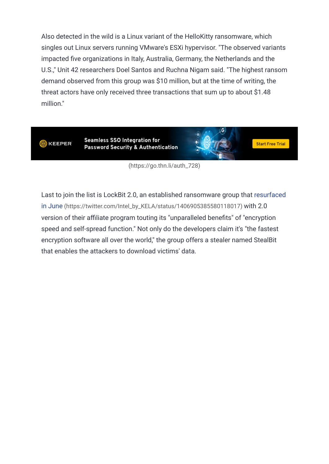Also detected in the wild is a Linux variant of the HelloKitty ransomware, which singles out Linux servers running VMware's ESXi hypervisor. "The observed variants impacted five organizations in Italy, Australia, Germany, the Netherlands and the U.S.," Unit 42 researchers Doel Santos and Ruchna Nigam said. "The highest ransom demand observed from this group was \$10 million, but at the time of writing, the threat actors have only received three transactions that sum up to about \$1.48 million."



[\(https://go.thn.li/auth\\_728\)](https://go.thn.li/auth_728)

[Last to join the list is LockBit 2.0, an established ransomware group that resurfaced](https://twitter.com/Intel_by_KELA/status/1406905385580118017) in June (https://twitter.com/Intel\_by\_KELA/status/1406905385580118017) with 2.0 version of their affiliate program touting its "unparalleled benefits" of "encryption speed and self-spread function." Not only do the developers claim it's "the fastest encryption software all over the world," the group offers a stealer named StealBit that enables the attackers to download victims' data.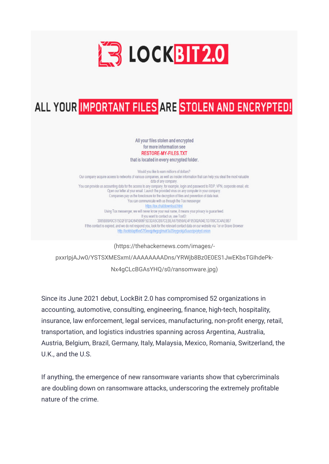

# ALL YOUR IMPORTANT FILES ARE STOLEN AND ENCRYPTED!

All your files stolen and encrypted for more information see **RESTORE-MY-FILES.TXT** that is located in every encrypted folder.

Would you like to earn millions of dollars? Our company acquire access to networks of various companies, as well as insider information that can help you steal the most valuable data of any company. You can provide us accounting data for the access to any company, for example, login and password to RDP, VPN, corporate email, etc. Open our letter at your email. Launch the provided virus on any computer in your company. Companies pay us the foreclosure for the decryption of files and prevention of data leak. You can communicate with us through the Tox messenger https://tox.chat/download.html Using Tox messenger, we will never know your real name, it means your privacy is guaranteed. If you want to contact us, use ToxID: 3085B89A0C515D2FB124D645906F5D3DA5CB97CEBEA975959AE4F95302A04E1D709C3C4AE9B7 If this contact is expired, and we do not respond you, look for the relevant contact data on our website via Tor or Brave Browser http://lockbitapt6vx57t3eeqjcfwgcglmutr3a35nygvolga5uuccip4ykyd.onion

(https://thehackernews.com/images/ [pxxrIpjAJw0/YSTSXMESxmI/AAAAAAAADns/YRWjb8Bz0E0ES1JwEKbsTGIhdePk-](https://thehackernews.com/images/-pxxrIpjAJw0/YSTSXMESxmI/AAAAAAAADns/YRWjb8Bz0E0ES1JwEKbsTGIhdePk-Nx4gCLcBGAsYHQ/s0/ransomware.jpg)Nx4gCLcBGAsYHQ/s0/ransomware.jpg)

Since its June 2021 debut, LockBit 2.0 has compromised 52 organizations in accounting, automotive, consulting, engineering, finance, high-tech, hospitality, insurance, law enforcement, legal services, manufacturing, non-profit energy, retail, transportation, and logistics industries spanning across Argentina, Australia, Austria, Belgium, Brazil, Germany, Italy, Malaysia, Mexico, Romania, Switzerland, the U.K., and the U.S.

If anything, the emergence of new ransomware variants show that cybercriminals are doubling down on ransomware attacks, underscoring the extremely profitable nature of the crime.